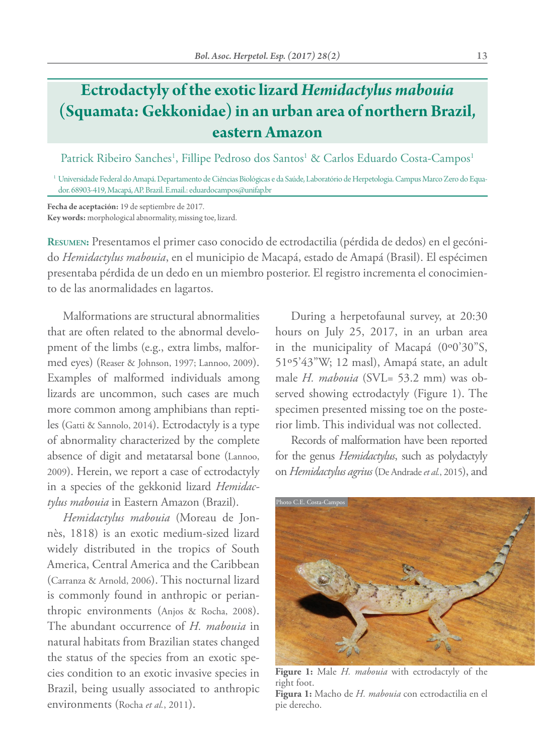## **Ectrodactyly of the exotic lizard** *Hemidactylus mabouia* **(Squamata: Gekkonidae) in an urban area of northern Brazil, eastern Amazon**

Patrick Ribeiro Sanches<sup>1</sup>, Fillipe Pedroso dos Santos<sup>1</sup> & Carlos Eduardo Costa-Campos<sup>1</sup>

<sup>1</sup> Universidade Federal do Amapá. Departamento de Ciências Biológicas e da Saúde, Laboratório de Herpetologia. Campus Marco Zero do Equador. 68903-419, Macapá, AP. Brazil. E.mail.: eduardocampos@unifap.br

**Fecha de aceptación:** 19 de septiembre de 2017. **Key words:** morphological abnormality, missing toe, lizard.

**Resumen:** Presentamos el primer caso conocido de ectrodactilia (pérdida de dedos) en el gecónido *Hemidactylus mabouia*, en el municipio de Macapá, estado de Amapá (Brasil). El espécimen presentaba pérdida de un dedo en un miembro posterior. El registro incrementa el conocimiento de las anormalidades en lagartos.

Malformations are structural abnormalities that are often related to the abnormal development of the limbs (e.g., extra limbs, malformed eyes) (Reaser & Johnson, 1997; Lannoo, 2009). Examples of malformed individuals among lizards are uncommon, such cases are much more common among amphibians than reptiles (Gatti & Sannolo, 2014). Ectrodactyly is a type of abnormality characterized by the complete absence of digit and metatarsal bone (Lannoo, 2009). Herein, we report a case of ectrodactyly in a species of the gekkonid lizard *Hemidactylus mabouia* in Eastern Amazon (Brazil).

*Hemidactylus mabouia* (Moreau de Jonnès, 1818) is an exotic medium-sized lizard widely distributed in the tropics of South America, Central America and the Caribbean (Carranza & Arnold, 2006). This nocturnal lizard is commonly found in anthropic or perianthropic environments (Anjos & Rocha, 2008). The abundant occurrence of *H. mabouia* in natural habitats from Brazilian states changed the status of the species from an exotic species condition to an exotic invasive species in Brazil, being usually associated to anthropic environments (Rocha *et al.*, 2011).

During a herpetofaunal survey, at 20:30 hours on July 25, 2017, in an urban area in the municipality of Macapá (0º0'30"S, 51º5'43"W; 12 masl), Amapá state, an adult male *H. mabouia* (SVL= 53.2 mm) was observed showing ectrodactyly (Figure 1). The specimen presented missing toe on the posterior limb. This individual was not collected.

Records of malformation have been reported for the genus *Hemidactylus*, such as polydactyly on *Hemidactylus agrius* (De Andrade *et al.*, 2015), and



**Figure 1:** Male *H. mabouia* with ectrodactyly of the right foot. **Figura 1:** Macho de *H. mabouia* con ectrodactilia en el pie derecho.